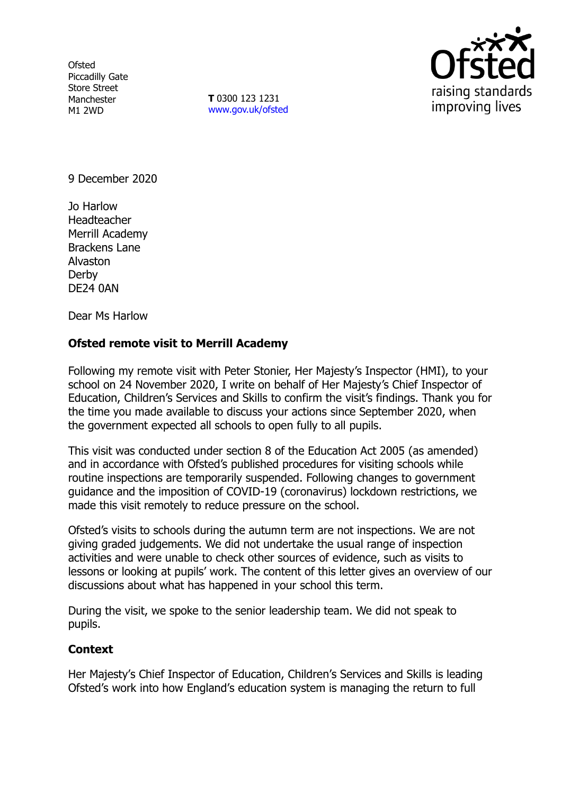**Ofsted** Piccadilly Gate Store Street Manchester M1 2WD

**T** 0300 123 1231 [www.gov.uk/ofsted](http://www.gov.uk/ofsted)



9 December 2020

Jo Harlow Headteacher Merrill Academy Brackens Lane Alvaston Derby DE24 0AN

Dear Ms Harlow

## **Ofsted remote visit to Merrill Academy**

Following my remote visit with Peter Stonier, Her Majesty's Inspector (HMI), to your school on 24 November 2020, I write on behalf of Her Majesty's Chief Inspector of Education, Children's Services and Skills to confirm the visit's findings. Thank you for the time you made available to discuss your actions since September 2020, when the government expected all schools to open fully to all pupils.

This visit was conducted under section 8 of the Education Act 2005 (as amended) and in accordance with Ofsted's published procedures for visiting schools while routine inspections are temporarily suspended. Following changes to government guidance and the imposition of COVID-19 (coronavirus) lockdown restrictions, we made this visit remotely to reduce pressure on the school.

Ofsted's visits to schools during the autumn term are not inspections. We are not giving graded judgements. We did not undertake the usual range of inspection activities and were unable to check other sources of evidence, such as visits to lessons or looking at pupils' work. The content of this letter gives an overview of our discussions about what has happened in your school this term.

During the visit, we spoke to the senior leadership team. We did not speak to pupils.

## **Context**

Her Majesty's Chief Inspector of Education, Children's Services and Skills is leading Ofsted's work into how England's education system is managing the return to full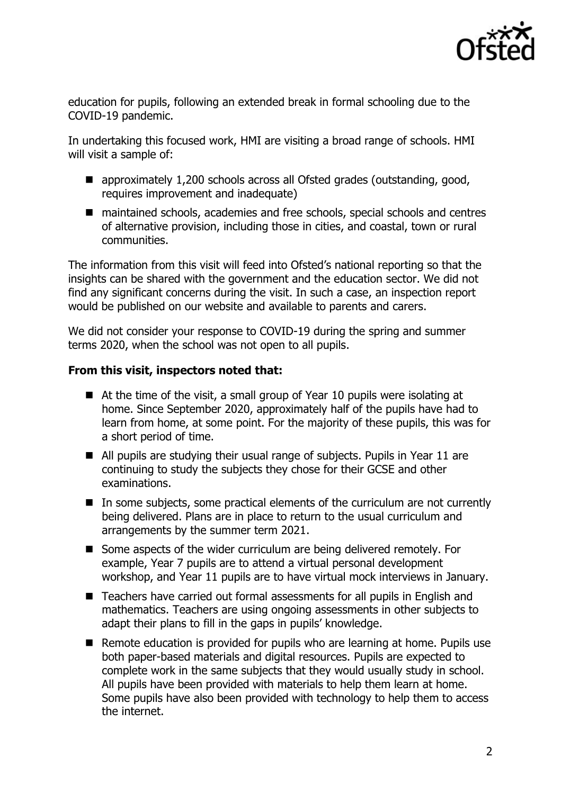

education for pupils, following an extended break in formal schooling due to the COVID-19 pandemic.

In undertaking this focused work, HMI are visiting a broad range of schools. HMI will visit a sample of:

- approximately 1,200 schools across all Ofsted grades (outstanding, good, requires improvement and inadequate)
- maintained schools, academies and free schools, special schools and centres of alternative provision, including those in cities, and coastal, town or rural communities.

The information from this visit will feed into Ofsted's national reporting so that the insights can be shared with the government and the education sector. We did not find any significant concerns during the visit. In such a case, an inspection report would be published on our website and available to parents and carers.

We did not consider your response to COVID-19 during the spring and summer terms 2020, when the school was not open to all pupils.

## **From this visit, inspectors noted that:**

- At the time of the visit, a small group of Year 10 pupils were isolating at home. Since September 2020, approximately half of the pupils have had to learn from home, at some point. For the majority of these pupils, this was for a short period of time.
- All pupils are studying their usual range of subjects. Pupils in Year 11 are continuing to study the subjects they chose for their GCSE and other examinations.
- In some subjects, some practical elements of the curriculum are not currently being delivered. Plans are in place to return to the usual curriculum and arrangements by the summer term 2021.
- Some aspects of the wider curriculum are being delivered remotely. For example, Year 7 pupils are to attend a virtual personal development workshop, and Year 11 pupils are to have virtual mock interviews in January.
- Teachers have carried out formal assessments for all pupils in English and mathematics. Teachers are using ongoing assessments in other subjects to adapt their plans to fill in the gaps in pupils' knowledge.
- Remote education is provided for pupils who are learning at home. Pupils use both paper-based materials and digital resources. Pupils are expected to complete work in the same subjects that they would usually study in school. All pupils have been provided with materials to help them learn at home. Some pupils have also been provided with technology to help them to access the internet.